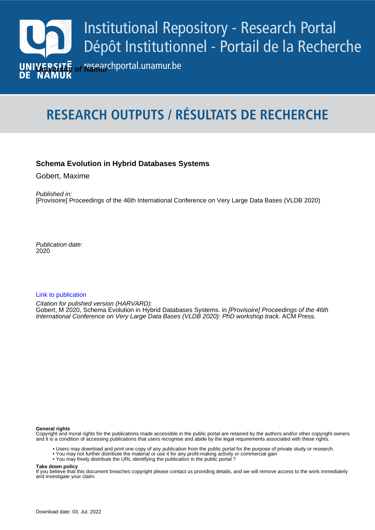

# **RESEARCH OUTPUTS / RÉSULTATS DE RECHERCHE**

# **Schema Evolution in Hybrid Databases Systems**

Gobert, Maxime

Published in: [Provisoire] Proceedings of the 46th International Conference on Very Large Data Bases (VLDB 2020)

Publication date: 2020

# [Link to publication](https://researchportal.unamur.be/en/publications/b4447ac2-7322-401b-8b5b-2d42f385d416)

International Conference on Very Large Data Bases (VLDB 2020): PhD workshop track. ACM Press. Citation for pulished version (HARVARD): Gobert, M 2020, Schema Evolution in Hybrid Databases Systems. in [Provisoire] Proceedings of the 46th

#### **General rights**

Copyright and moral rights for the publications made accessible in the public portal are retained by the authors and/or other copyright owners and it is a condition of accessing publications that users recognise and abide by the legal requirements associated with these rights.

- Users may download and print one copy of any publication from the public portal for the purpose of private study or research.
- You may not further distribute the material or use it for any profit-making activity or commercial gain
- You may freely distribute the URL identifying the publication in the public portal ?

#### **Take down policy**

If you believe that this document breaches copyright please contact us providing details, and we will remove access to the work immediately and investigate your claim.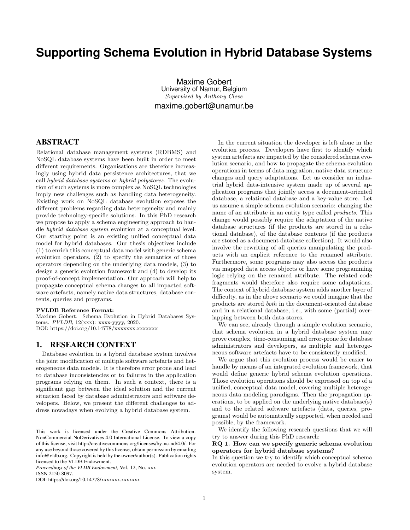# **Supporting Schema Evolution in Hybrid Database Systems**

Maxime Gobert University of Namur, Belgium Supervised by Anthony Cleve maxime.gobert@unamur.be

# ABSTRACT

Relational database management systems (RDBMS) and NoSQL database systems have been built in order to meet different requirements. Organisations are therefore increasingly using hybrid data persistence architectures, that we call hybrid database systems or hybrid polystores. The evolution of such systems is more complex as NoSQL technologies imply new challenges such as handling data heterogeneity. Existing work on NoSQL database evolution exposes the different problems regarding data heterogeneity and mainly provide technology-specific solutions. In this PhD research we propose to apply a schema engineering approach to handle hybrid database system evolution at a conceptual level. Our starting point is an existing unified conceptual data model for hybrid databases. Our thesis objectives include (1) to enrich this conceptual data model with generic schema evolution operators, (2) to specify the semantics of those operators depending on the underlying data models, (3) to design a generic evolution framework and (4) to develop its proof-of-concept implementation. Our approach will help to propagate conceptual schema changes to all impacted software artefacts, namely native data structures, database contents, queries and programs.

#### PVLDB Reference Format:

Maxime Gobert. Schema Evolution in Hybrid Databases Systems. PVLDB, 12(xxx): xxxx-yyyy, 2020. DOI: https://doi.org/10.14778/xxxxxxx.xxxxxxx

#### 1. RESEARCH CONTEXT

Database evolution in a hybrid database system involves the joint modification of multiple software artefacts and heterogeneous data models. It is therefore error prone and lead to database inconsistencies or to failures in the application programs relying on them. In such a context, there is a significant gap between the ideal solution and the current situation faced by database administrators and software developers. Below, we present the different challenges to address nowadays when evolving a hybrid database system.

*Proceedings of the VLDB Endowment,* Vol. 12, No. xxx ISSN 2150-8097.

DOI: https://doi.org/10.14778/xxxxxxx.xxxxxxx

In the current situation the developer is left alone in the evolution process. Developers have first to identify which system artefacts are impacted by the considered schema evolution scenario, and how to propagate the schema evolution operations in terms of data migration, native data structure changes and query adaptations. Let us consider an industrial hybrid data-intensive system made up of several application programs that jointly access a document-oriented database, a relational database and a key-value store. Let us assume a simple schema evolution scenario: changing the name of an attribute in an entity type called products. This change would possibly require the adaptation of the native database structures (if the products are stored in a relational database), of the database contents (if the products are stored as a document database collection). It would also involve the rewriting of all queries manipulating the products with an explicit reference to the renamed attribute. Furthermore, some programs may also access the products via mapped data access objects or have some programming logic relying on the renamed attribute. The related code fragments would therefore also require some adaptations. The context of hybrid database system adds another layer of difficulty, as in the above scenario we could imagine that the products are stored both in the document-oriented database and in a relational database, i.e., with some (partial) overlapping between both data stores.

We can see, already through a simple evolution scenario, that schema evolution in a hybrid database system may prove complex, time-consuming and error-prone for database administrators and developers, as multiple and heterogeneous software artefacts have to be consistently modified.

We argue that this evolution process would be easier to handle by means of an integrated evolution framework, that would define generic hybrid schema evolution operations. Those evolution operations should be expressed on top of a unified, conceptual data model, covering multiple heterogeneous data modeling paradigms. Then the propagation operations, to be applied on the underlying native database(s) and to the related software artefacts (data, queries, programs) would be automatically supported, when needed and possible, by the framework.

We identify the following research questions that we will try to answer during this PhD research:

#### RQ 1. How can we specify generic schema evolution operators for hybrid database systems?

In this question we try to identify which conceptual schema evolution operators are needed to evolve a hybrid database system.

This work is licensed under the Creative Commons Attribution-NonCommercial-NoDerivatives 4.0 International License. To view a copy of this license, visit http://creativecommons.org/licenses/by-nc-nd/4.0/. For any use beyond those covered by this license, obtain permission by emailing info@vldb.org. Copyright is held by the owner/author(s). Publication rights licensed to the VLDB Endowment.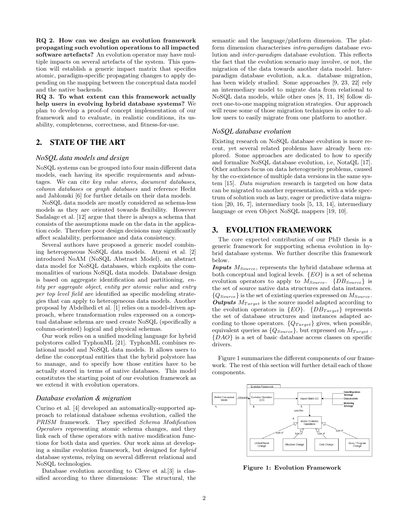RQ 2. How can we design an evolution framework propagating such evolution operations to all impacted software artefacts? An evolution operator may have multiple impacts on several artefacts of the system. This question will establish a generic impact matrix that specifies atomic, paradigm-specific propagating changes to apply depending on the mapping between the conceptual data model and the native backends.

RQ 3. To what extent can this framework actually help users in evolving hybrid database systems? We plan to develop a proof-of concept implementation of our framework and to evaluate, in realistic conditions, its usability, completeness, correctness, and fitness-for-use.

# 2. STATE OF THE ART

#### *NoSQL data models and design*

NoSQL systems can be grouped into four main different data models, each having its specific requirements and advantages. We can cite key value stores, document databases, column databases or graph databases and reference Hecht and Jablonski [6] for further details on their data models.

NoSQL data models are mostly considered as schema-less models as they are oriented towards flexibility. However Sadalage et al. [12] argue that there is always a schema that consists of the assumptions made on the data in the application code. Therefore poor design decisions may significantly affect scalability, performance and data consistency.

Several authors have proposed a generic model combining heterogeneous NoSQL data models. Atzeni et al. [2] introduced NoAM (NoSQL Abstract Model), an abstract data model for NoSQL databases, which exploits the commonalities of various NoSQL data models. Database design is based on aggregate identification and partitioning, entity per aggregate object, entity per atomic value and entry per top level field are identified as specific modeling strategies that can apply to heterogeneous data models. Another proposal by Abdelhedi et al. [1] relies on a model-driven approach, where transformation rules expressed on a conceptual database schema are used create NoSQL (specifically a column-oriented) logical and physical schemas.

Our work relies on a unified modeling language for hybrid polystores called TyphonML [21]. TyphonML combines relational model and NoSQL data models. It allows users to define the conceptual entities that the hybrid polystore has to manage, and to specify how those entities have to be actually stored in terms of native databases. This model constitutes the starting point of our evolution framework as we extend it with evolution operators.

#### *Database evolution & migration*

Curino et al. [4] developed an automatically-supported approach to relational database schema evolution, called the PRISM framework. They specified Schema Modification Operators representing atomic schema changes, and they link each of these operators with native modification functions for both data and queries. Our work aims at developing a similar evolution framework, but designed for hybrid database systems, relying on several different relational and NoSQL technologies.

Database evolution according to Cleve et al.[3] is classified according to three dimensions: The structural, the semantic and the language/platform dimension. The platform dimension characterises intra-paradigm database evolution and inter-paradigm database evolution. This reflects the fact that the evolution scenario may involve, or not, the migration of the data towards another data model. Interparadigm database evolution, a.k.a. database migration, has been widely studied. Some approaches [9, 23, 22] rely an intermediary model to migrate data from relational to NoSQL data models, while other ones [8, 11, 18] follow direct one-to-one mapping migration strategies. Our approach will reuse some of those migration techniques in order to allow users to easily migrate from one platform to another.

#### *NoSQL database evolution*

Existing research on NoSQL database evolution is more recent, yet several related problems have already been explored. Some approaches are dedicated to how to specify and formalize NoSQL database evolution, i.e, NotaQL [17]. Other authors focus on data heterogeneity problems, caused by the co-existence of multiple data versions in the same system [15]. Data migration research is targeted on how data can be migrated to another representation, with a wide spectrum of solution such as lazy, eager or predictive data migration [20, 16, 7], intermediary tools [5, 13, 14], intermediary language or even Object NoSQL mappers [19, 10].

# 3. EVOLUTION FRAMEWORK

The core expected contribution of our PhD thesis is a generic framework for supporting schema evolution in hybrid database systems. We further describe this framework below.

**Inputs**  $M_{Source}$ , represents the hybrid database schema at both conceptual and logical levels.  ${EO}$  is a set of schema evolution operators to apply to  $M_{Source}$ .  $\{DB_{Source}\}$  is the set of source native data structures and data instances.  ${Q_{Source}}$  is the set of existing queries expressed on  $M_{Source}$ . **Outputs**  $M_{Target}$  is the source model adapted according to the evolution operators in  ${EO}$ .  ${DB_{Target}}$  represents the set of database structures and instances adapted according to those operators.  $\{Q_{Target}\}$  gives, when possible, equivalent queries as  $\{Q_{Source}\}$ , but expressed on  $M_{Target}$ . {DAO} is a set of basic database access classes on specific drivers.

Figure 1 summarizes the different components of our framework. The rest of this section will further detail each of those components.



Figure 1: Evolution Framework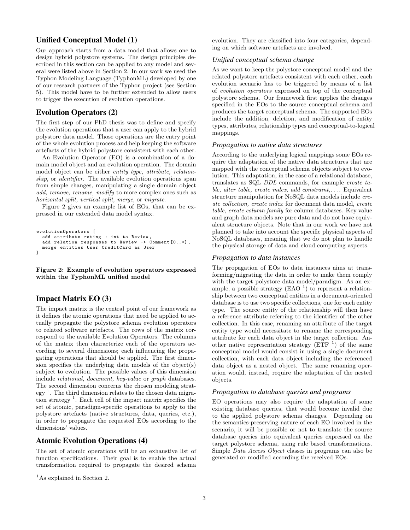# Unified Conceptual Model (1)

Our approach starts from a data model that allows one to design hybrid polystore systems. The design principles described in this section can be applied to any model and several were listed above in Section 2. In our work we used the Typhon Modeling Language (TyphonML) developed by one of our research partners of the Typhon project (see Section 5). This model have to be further extended to allow users to trigger the execution of evolution operations.

### Evolution Operators (2)

The first step of our PhD thesis was to define and specify the evolution operations that a user can apply to the hybrid polystore data model. Those operations are the entry point of the whole evolution process and help keeping the software artefacts of the hybrid polystore consistent with each other.

An Evolution Operator (EO) is a combination of a domain model object and an evolution operation. The domain model object can be either *entity type*, *attribute*, *relation*ship, or *identifier*. The available evolution operations span from simple changes, manipulating a single domain object add, remove, rename, modify to more complex ones such as horizontal split, vertical split, merge, or migrate.

Figure 2 gives an example list of EOs, that can be expressed in our extended data model syntax.

```
evolutionOperators [
  add attribute rating : int to Review ,
  add relation responses to Review -> Comment [0..*] ,
  merge entities User CreditCard as User
\overline{1}
```
Figure 2: Example of evolution operators expressed within the TyphonML unified model

# Impact Matrix EO (3)

The impact matrix is the central point of our framework as it defines the atomic operations that need be applied to actually propagate the polystore schema evolution operators to related software artefacts. The rows of the matrix correspond to the available Evolution Operators. The columns of the matrix then characterize each of the operators according to several dimensions; each influencing the propagating operations that should be applied. The first dimension specifies the underlying data models of the object(s) subject to evolution. The possible values of this dimension include relational, document, key-value or graph databases. The second dimension concerns the chosen modeling strategy<sup>1</sup>. The third dimension relates to the chosen data migration strategy<sup>1</sup>. Each cell of the impact matrix specifies the set of atomic, paradigm-specific operations to apply to the polystore artefacts (native structures, data, queries, etc.), in order to propagate the requested EOs according to the dimensions' values.

#### Atomic Evolution Operations (4)

The set of atomic operations will be an exhaustive list of function specifications. Their goal is to enable the actual transformation required to propagate the desired schema evolution. They are classified into four categories, depending on which software artefacts are involved.

#### *Unified conceptual schema change*

As we want to keep the polystore conceptual model and the related polystore artefacts consistent with each other, each evolution scenario has to be triggered by means of a list of evolution operators expressed on top of the conceptual polystore schema. Our framework first applies the changes specified in the EOs to the source conceptual schema and produces the target conceptual schema. The supported EOs include the addition, deletion, and modification of entity types, attributes, relationship types and conceptual-to-logical mappings.

#### *Propagation to native data structures*

According to the underlying logical mappings some EOs require the adaptation of the native data structures that are mapped with the conceptual schema objects subject to evolution. This adaptation, in the case of a relational database, translates as SQL DDL commands, for example create table, alter table, create index, add constraint,.... Equivalent structure manipulation for NoSQL data models include create collection, create index for document data model, create table, create column family for column databases. Key value and graph data models are pure data and do not have equivalent structure objects. Note that in our work we have not planned to take into account the specific physical aspects of NoSQL databases, meaning that we do not plan to handle the physical storage of data and cloud computing aspects.

#### *Propagation to data instances*

The propagation of EOs to data instances aims at transforming/migrating the data in order to make them comply with the target polystore data model/paradigm. As an example, a possible strategy  $(EAO<sup>-1</sup>)$  to represent a relationship between two conceptual entities in a document-oriented database is to use two specific collections, one for each entity type. The source entity of the relationship will then have a reference attribute referring to the identifier of the other collection. In this case, renaming an attribute of the target entity type would necessitate to rename the corresponding attribute for each data object in the target collection. Another native representation strategy  $(ETF^{-1})$  of the same conceptual model would consist in using a single document collection, with each data object including the referenced data object as a nested object. The same renaming operation would, instead, require the adaptation of the nested objects.

#### *Propagation to database queries and programs*

EO operations may also require the adaptation of some existing database queries, that would become invalid due to the applied polystore schema changes. Depending on the semantics-preserving nature of each EO involved in the scenario, it will be possible or not to translate the source database queries into equivalent queries expressed on the target polystore schema, using rule based transformations. Simple Data Access Object classes in programs can also be generated or modified according the received EOs.

<sup>&</sup>lt;sup>1</sup>As explained in Section 2.